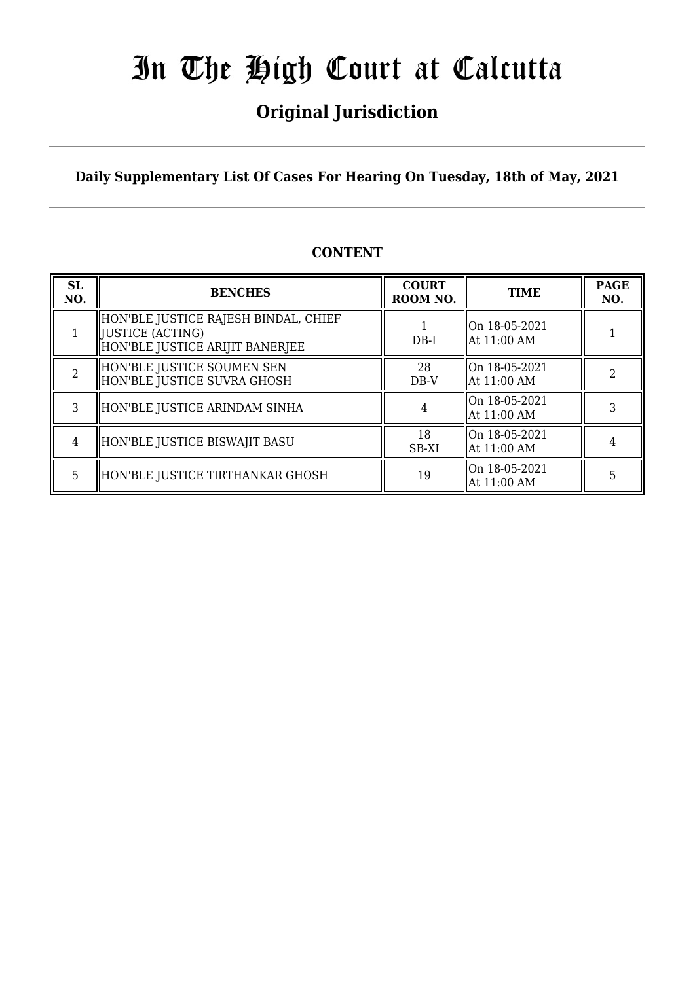## **Original Jurisdiction**

**Daily Supplementary List Of Cases For Hearing On Tuesday, 18th of May, 2021**

### **CONTENT**

| <b>SL</b><br>NO. | <b>BENCHES</b>                                                                               | <b>COURT</b><br>ROOM NO. | <b>TIME</b>                                | <b>PAGE</b><br>NO. |
|------------------|----------------------------------------------------------------------------------------------|--------------------------|--------------------------------------------|--------------------|
|                  | HON'BLE JUSTICE RAJESH BINDAL, CHIEF<br> JUSTICE (ACTING)<br>HON'BLE JUSTICE ARIJIT BANERJEE | $DB-I$                   | On 18-05-2021<br>  At 11:00 AM             |                    |
|                  | HON'BLE JUSTICE SOUMEN SEN<br>HON'BLE JUSTICE SUVRA GHOSH                                    | 28<br>$DB-V$             | $\parallel$ On 18-05-2021<br>  At 11:00 AM |                    |
| 3                | HON'BLE JUSTICE ARINDAM SINHA                                                                |                          | On 18-05-2021<br>At 11:00 AM               |                    |
| 4                | HON'BLE JUSTICE BISWAJIT BASU                                                                | 18<br>SB-XI              | On 18-05-2021<br>  At 11:00 AM             |                    |
| 5.               | HON'BLE JUSTICE TIRTHANKAR GHOSH                                                             | 19                       | On 18-05-2021<br>At 11:00 AM               | 5                  |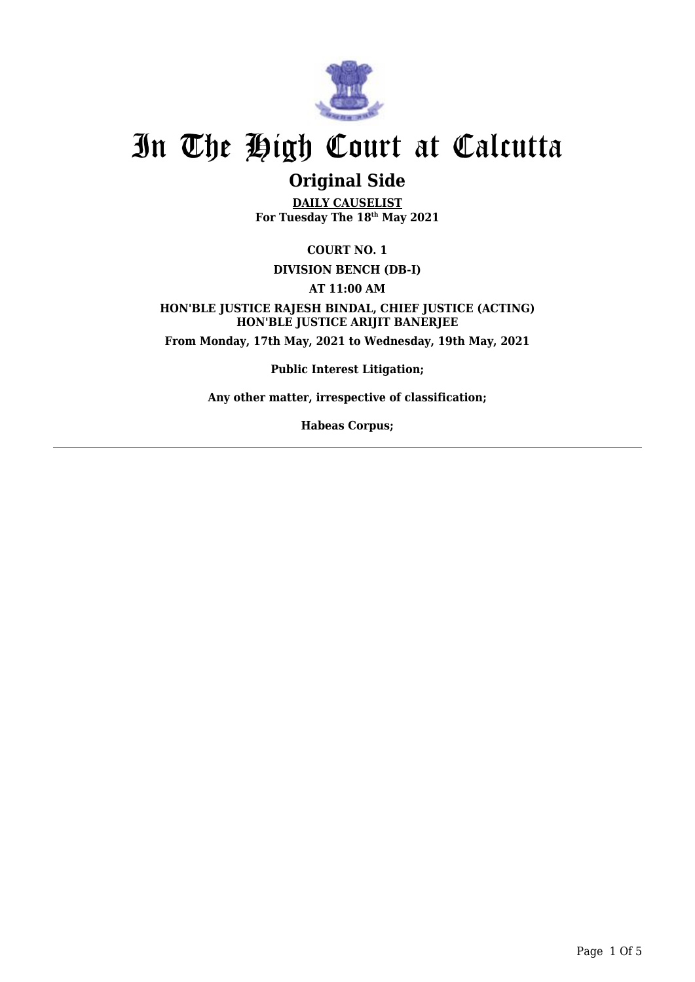

## **Original Side**

**DAILY CAUSELIST For Tuesday The 18th May 2021**

**COURT NO. 1**

#### **DIVISION BENCH (DB-I)**

**AT 11:00 AM**

**HON'BLE JUSTICE RAJESH BINDAL, CHIEF JUSTICE (ACTING) HON'BLE JUSTICE ARIJIT BANERJEE From Monday, 17th May, 2021 to Wednesday, 19th May, 2021**

**Public Interest Litigation;**

**Any other matter, irrespective of classification;**

**Habeas Corpus;**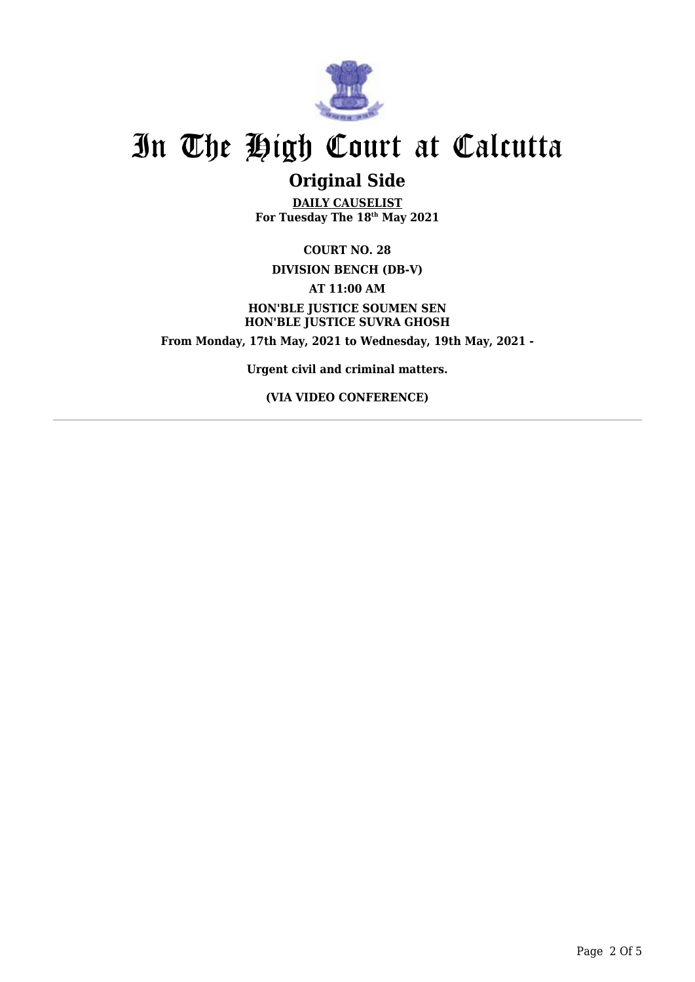

## **Original Side**

**DAILY CAUSELIST For Tuesday The 18th May 2021**

**COURT NO. 28 DIVISION BENCH (DB-V) AT 11:00 AM HON'BLE JUSTICE SOUMEN SEN HON'BLE JUSTICE SUVRA GHOSH From Monday, 17th May, 2021 to Wednesday, 19th May, 2021 -**

**Urgent civil and criminal matters.**

**(VIA VIDEO CONFERENCE)**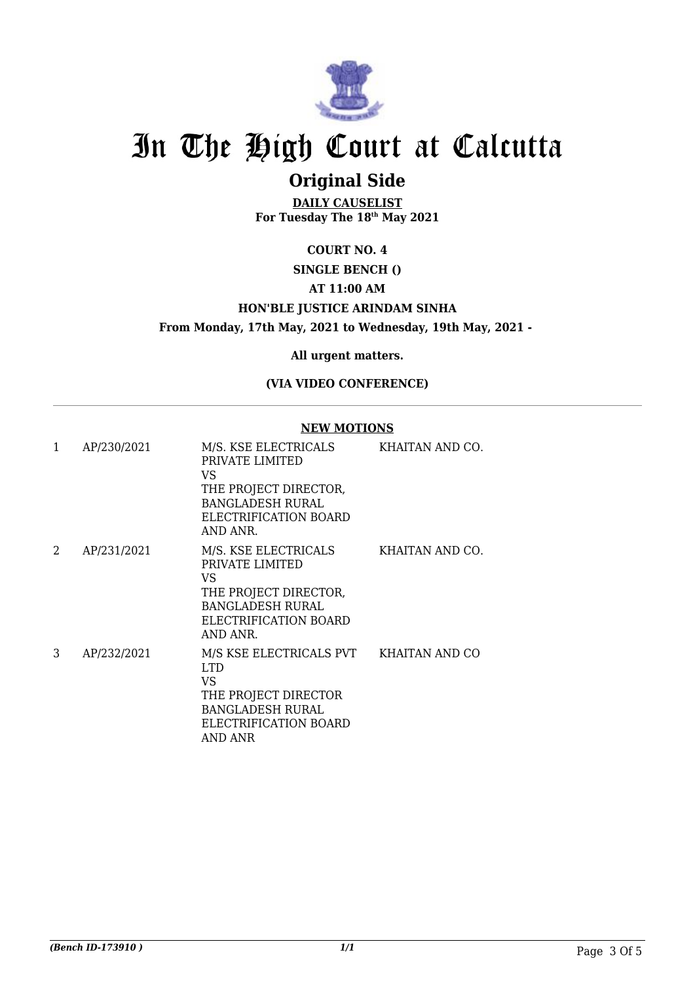

## **Original Side**

**DAILY CAUSELIST For Tuesday The 18th May 2021**

### **COURT NO. 4 SINGLE BENCH () AT 11:00 AM**

### **HON'BLE JUSTICE ARINDAM SINHA**

**From Monday, 17th May, 2021 to Wednesday, 19th May, 2021 -** 

**All urgent matters.**

#### **(VIA VIDEO CONFERENCE)**

#### **NEW MOTIONS**

| 1 | AP/230/2021 | M/S. KSE ELECTRICALS<br>PRIVATE LIMITED<br>VS<br>THE PROJECT DIRECTOR,<br><b>BANGLADESH RURAL</b><br>ELECTRIFICATION BOARD<br>AND ANR.            | KHAITAN AND CO. |
|---|-------------|---------------------------------------------------------------------------------------------------------------------------------------------------|-----------------|
| 2 | AP/231/2021 | M/S. KSE ELECTRICALS<br>PRIVATE LIMITED<br>VS<br>THE PROJECT DIRECTOR,<br><b>BANGLADESH RURAL</b><br>ELECTRIFICATION BOARD<br>AND ANR.            | KHAITAN AND CO. |
| 3 | AP/232/2021 | M/S KSE ELECTRICALS PVT KHAITAN AND CO<br><b>LTD</b><br>VS<br>THE PROJECT DIRECTOR<br><b>BANGLADESH RURAL</b><br>ELECTRIFICATION BOARD<br>AND ANR |                 |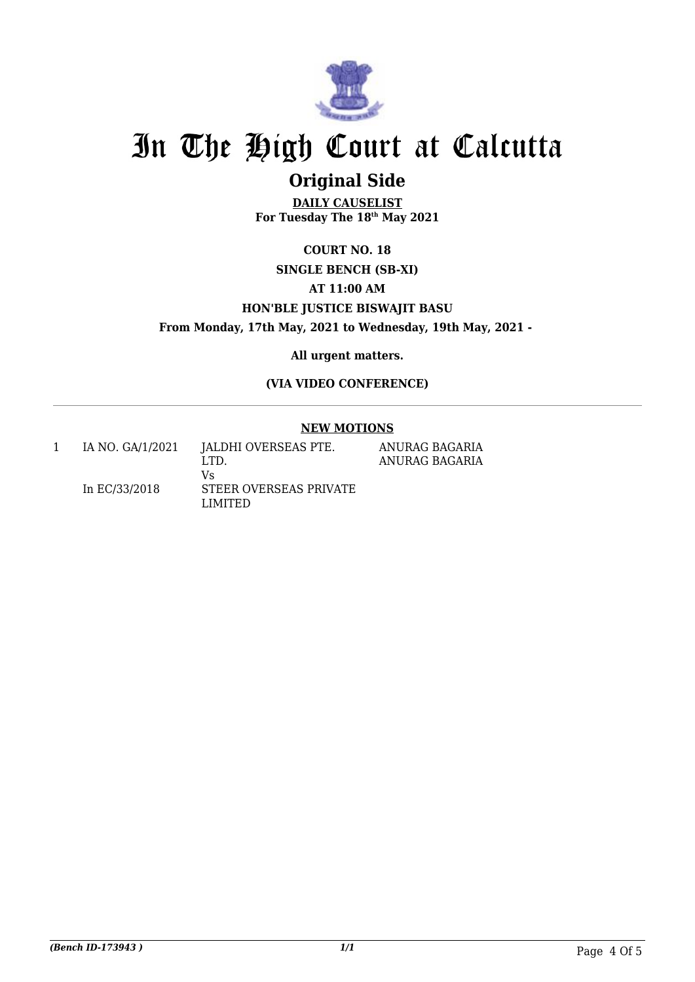

## **Original Side**

**DAILY CAUSELIST For Tuesday The 18th May 2021**

### **COURT NO. 18 SINGLE BENCH (SB-XI) AT 11:00 AM HON'BLE JUSTICE BISWAJIT BASU From Monday, 17th May, 2021 to Wednesday, 19th May, 2021 -**

**All urgent matters.**

**(VIA VIDEO CONFERENCE)**

#### **NEW MOTIONS**

| IA NO. GA/1/2021 | JALDHI OVERSEAS PTE.<br>LTD.            | ANURAG BAGARIA<br>ANURAG BAGARIA |
|------------------|-----------------------------------------|----------------------------------|
| In EC/33/2018    | Vs<br>STEER OVERSEAS PRIVATE<br>LIMITED |                                  |